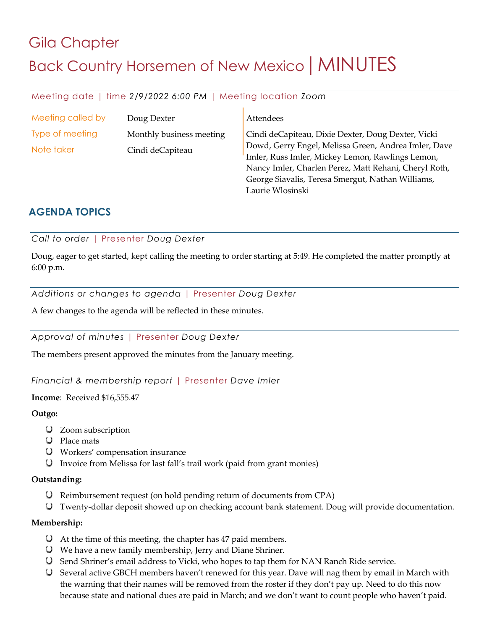# Gila Chapter Back Country Horsemen of New Mexico | MINUTES

# Meeting date | time *2/9/2022 6:00 PM* | Meeting location *Zoom*

| Meeting called by | Doug Dexter              | Attendees                                                                                                |
|-------------------|--------------------------|----------------------------------------------------------------------------------------------------------|
| Type of meeting   | Monthly business meeting | Cindi deCapiteau, Dixie Dexter, Doug Dexter, Vicki                                                       |
| Note taker        | Cindi deCapiteau         | Dowd, Gerry Engel, Melissa Green, Andrea Imler, Dave<br>Imler, Russ Imler, Mickey Lemon, Rawlings Lemon, |
|                   |                          | Nancy Imler, Charlen Perez, Matt Rehani, Cheryl Roth,                                                    |
|                   |                          | George Siavalis, Teresa Smergut, Nathan Williams,                                                        |

Laurie Wlosinski

# **AGENDA TOPICS**

*Call to order* | Presenter *Doug Dexter*

Doug, eager to get started, kept calling the meeting to order starting at 5:49. He completed the matter promptly at 6:00 p.m.

*Additions or changes to agenda* | Presenter *Doug Dexter*

A few changes to the agenda will be reflected in these minutes.

*Approval of minutes* | Presenter *Doug Dexter*

The members present approved the minutes from the January meeting.

*Financial & membership report* | Presenter *Dave Imler*

**Income**: Received \$16,555.47

#### **Outgo:**

- Zoom subscription
- Place mats
- Workers' compensation insurance
- Invoice from Melissa for last fall's trail work (paid from grant monies)

#### **Outstanding:**

- Reimbursement request (on hold pending return of documents from CPA)
- Twenty-dollar deposit showed up on checking account bank statement. Doug will provide documentation.

## **Membership:**

- At the time of this meeting, the chapter has 47 paid members.
- We have a new family membership, Jerry and Diane Shriner.
- Send Shriner's email address to Vicki, who hopes to tap them for NAN Ranch Ride service.
- Several active GBCH members haven't renewed for this year. Dave will nag them by email in March with the warning that their names will be removed from the roster if they don't pay up. Need to do this now because state and national dues are paid in March; and we don't want to count people who haven't paid.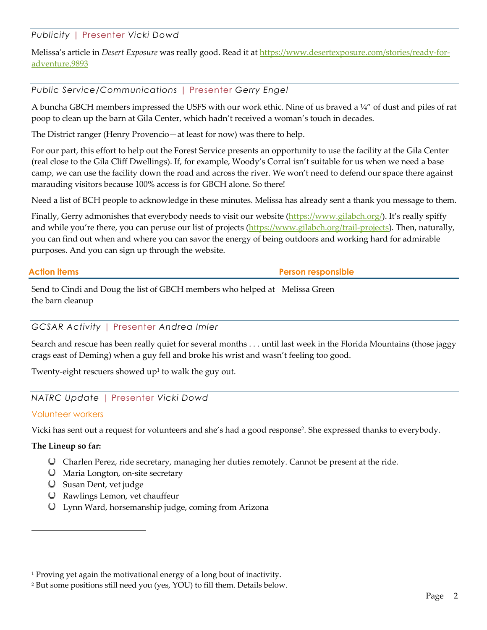*Publicity* | Presenter *Vicki Dowd*

Melissa's article in *Desert Exposure* was really good. Read it at https://www.desertexposure.com/stories/ready-foradventure,9893

# *Public Service/Communications* | Presenter *Gerry Engel*

A buncha GBCH members impressed the USFS with our work ethic. Nine of us braved a ¼" of dust and piles of rat poop to clean up the barn at Gila Center, which hadn't received a woman's touch in decades.

The District ranger (Henry Provencio—at least for now) was there to help.

For our part, this effort to help out the Forest Service presents an opportunity to use the facility at the Gila Center (real close to the Gila Cliff Dwellings). If, for example, Woody's Corral isn't suitable for us when we need a base camp, we can use the facility down the road and across the river. We won't need to defend our space there against marauding visitors because 100% access is for GBCH alone. So there!

Need a list of BCH people to acknowledge in these minutes. Melissa has already sent a thank you message to them.

Finally, Gerry admonishes that everybody needs to visit our website (https://www.gilabch.org/). It's really spiffy and while you're there, you can peruse our list of projects (https://www.gilabch.org/trail-projects). Then, naturally, you can find out when and where you can savor the energy of being outdoors and working hard for admirable purposes. And you can sign up through the website.

**Action items Person responsible**

Send to Cindi and Doug the list of GBCH members who helped at Melissa Green the barn cleanup

## *GCSAR Activity* | Presenter *Andrea Imler*

Search and rescue has been really quiet for several months . . . until last week in the Florida Mountains (those jaggy crags east of Deming) when a guy fell and broke his wrist and wasn't feeling too good.

Twenty-eight rescuers showed  $up<sup>1</sup>$  to walk the guy out.

# *NATRC Update* | Presenter *Vicki Dowd*

## Volunteer workers

Vicki has sent out a request for volunteers and she's had a good response2. She expressed thanks to everybody.

## **The Lineup so far:**

- Charlen Perez, ride secretary, managing her duties remotely. Cannot be present at the ride.
- Maria Longton, on-site secretary
- Susan Dent, vet judge
- Rawlings Lemon, vet chauffeur
- Lynn Ward, horsemanship judge, coming from Arizona

<sup>&</sup>lt;sup>1</sup> Proving yet again the motivational energy of a long bout of inactivity.

<sup>2</sup> But some positions still need you (yes, YOU) to fill them. Details below.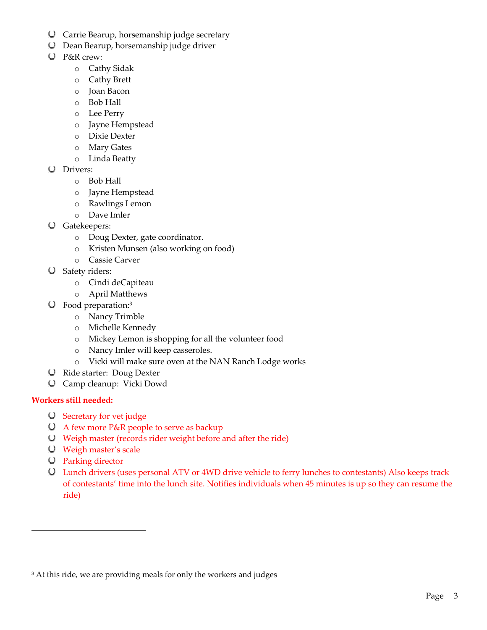- Carrie Bearup, horsemanship judge secretary
- Dean Bearup, horsemanship judge driver
- P&R crew:
	- o Cathy Sidak
	- o Cathy Brett
	- o Joan Bacon
	- o Bob Hall
	- o Lee Perry
	- o Jayne Hempstead
	- o Dixie Dexter
	- o Mary Gates
	- o Linda Beatty
- Drivers:
	- o Bob Hall
	- o Jayne Hempstead
	- o Rawlings Lemon
	- o Dave Imler
- Gatekeepers:
	- o Doug Dexter, gate coordinator.
	- o Kristen Munsen (also working on food)
	- o Cassie Carver
- Safety riders:
	- o Cindi deCapiteau
	- o April Matthews
- Food preparation: 3
	- o Nancy Trimble
	- o Michelle Kennedy
	- o Mickey Lemon is shopping for all the volunteer food
	- o Nancy Imler will keep casseroles.
	- o Vicki will make sure oven at the NAN Ranch Lodge works
- Ride starter: Doug Dexter
- Camp cleanup: Vicki Dowd

# **Workers still needed:**

- Secretary for vet judge
- A few more P&R people to serve as backup
- Weigh master (records rider weight before and after the ride)
- Weigh master's scale
- Parking director
- Lunch drivers (uses personal ATV or 4WD drive vehicle to ferry lunches to contestants) Also keeps track of contestants' time into the lunch site. Notifies individuals when 45 minutes is up so they can resume the ride)

<sup>&</sup>lt;sup>3</sup> At this ride, we are providing meals for only the workers and judges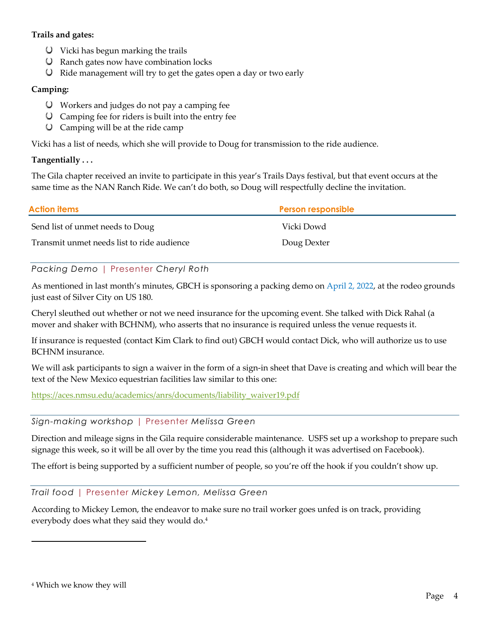# **Trails and gates:**

- Vicki has begun marking the trails
- Ranch gates now have combination locks
- $\bigcup$  Ride management will try to get the gates open a day or two early

# **Camping:**

- Workers and judges do not pay a camping fee
- $\bigcup$  Camping fee for riders is built into the entry fee
- $\bigcup$  Camping will be at the ride camp

Vicki has a list of needs, which she will provide to Doug for transmission to the ride audience.

## **Tangentially . . .**

The Gila chapter received an invite to participate in this year's Trails Days festival, but that event occurs at the same time as the NAN Ranch Ride. We can't do both, so Doug will respectfully decline the invitation.

| <b>Action items</b>                        | <b>Person responsible</b> |
|--------------------------------------------|---------------------------|
| Send list of unmet needs to Doug           | Vicki Dowd                |
| Transmit unmet needs list to ride audience | Doug Dexter               |

# *Packing Demo* | Presenter *Cheryl Roth*

As mentioned in last month's minutes, GBCH is sponsoring a packing demo on April 2, 2022, at the rodeo grounds just east of Silver City on US 180.

Cheryl sleuthed out whether or not we need insurance for the upcoming event. She talked with Dick Rahal (a mover and shaker with BCHNM), who asserts that no insurance is required unless the venue requests it.

If insurance is requested (contact Kim Clark to find out) GBCH would contact Dick, who will authorize us to use BCHNM insurance.

We will ask participants to sign a waiver in the form of a sign-in sheet that Dave is creating and which will bear the text of the New Mexico equestrian facilities law similar to this one:

https://aces.nmsu.edu/academics/anrs/documents/liability\_waiver19.pdf

## *Sign-making workshop* | Presenter *Melissa Green*

Direction and mileage signs in the Gila require considerable maintenance. USFS set up a workshop to prepare such signage this week, so it will be all over by the time you read this (although it was advertised on Facebook).

The effort is being supported by a sufficient number of people, so you're off the hook if you couldn't show up.

## *Trail food* | Presenter *Mickey Lemon, Melissa Green*

According to Mickey Lemon, the endeavor to make sure no trail worker goes unfed is on track, providing everybody does what they said they would do. 4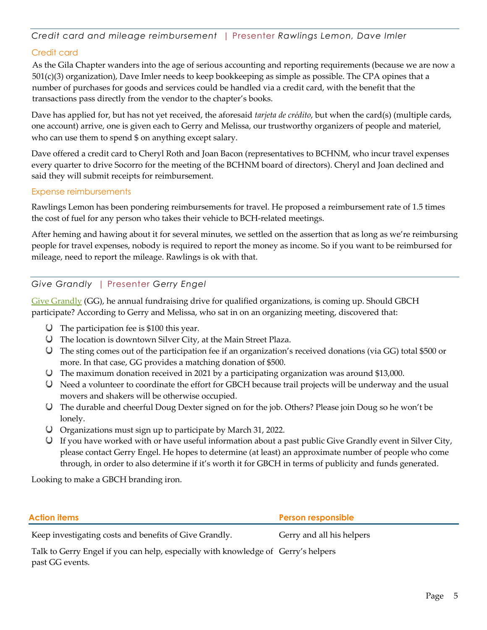*Credit card and mileage reimbursement* | Presenter *Rawlings Lemon, Dave Imler*

# Credit card

As the Gila Chapter wanders into the age of serious accounting and reporting requirements (because we are now a 501(c)(3) organization), Dave Imler needs to keep bookkeeping as simple as possible. The CPA opines that a number of purchases for goods and services could be handled via a credit card, with the benefit that the transactions pass directly from the vendor to the chapter's books.

Dave has applied for, but has not yet received, the aforesaid *tarjeta de crédito*, but when the card(s) (multiple cards, one account) arrive, one is given each to Gerry and Melissa, our trustworthy organizers of people and materiel, who can use them to spend \$ on anything except salary.

Dave offered a credit card to Cheryl Roth and Joan Bacon (representatives to BCHNM, who incur travel expenses every quarter to drive Socorro for the meeting of the BCHNM board of directors). Cheryl and Joan declined and said they will submit receipts for reimbursement.

#### Expense reimbursements

Rawlings Lemon has been pondering reimbursements for travel. He proposed a reimbursement rate of 1.5 times the cost of fuel for any person who takes their vehicle to BCH-related meetings.

After heming and hawing about it for several minutes, we settled on the assertion that as long as we're reimbursing people for travel expenses, nobody is required to report the money as income. So if you want to be reimbursed for mileage, need to report the mileage. Rawlings is ok with that.

# *Give Grandly* | Presenter *Gerry Engel*

Give Grandly (GG), he annual fundraising drive for qualified organizations, is coming up. Should GBCH participate? According to Gerry and Melissa, who sat in on an organizing meeting, discovered that:

- $\bigcup$  The participation fee is \$100 this year.
- The location is downtown Silver City, at the Main Street Plaza.
- The sting comes out of the participation fee if an organization's received donations (via GG) total \$500 or more. In that case, GG provides a matching donation of \$500.
- The maximum donation received in 2021 by a participating organization was around \$13,000.
- Need a volunteer to coordinate the effort for GBCH because trail projects will be underway and the usual movers and shakers will be otherwise occupied.
- The durable and cheerful Doug Dexter signed on for the job. Others? Please join Doug so he won't be lonely.
- Organizations must sign up to participate by March 31, 2022.
- If you have worked with or have useful information about a past public Give Grandly event in Silver City, please contact Gerry Engel. He hopes to determine (at least) an approximate number of people who come through, in order to also determine if it's worth it for GBCH in terms of publicity and funds generated.

Looking to make a GBCH branding iron.

**Action items Person responsible**

Keep investigating costs and benefits of Give Grandly. Gerry and all his helpers

Talk to Gerry Engel if you can help, especially with knowledge of Gerry's helperspast GG events.